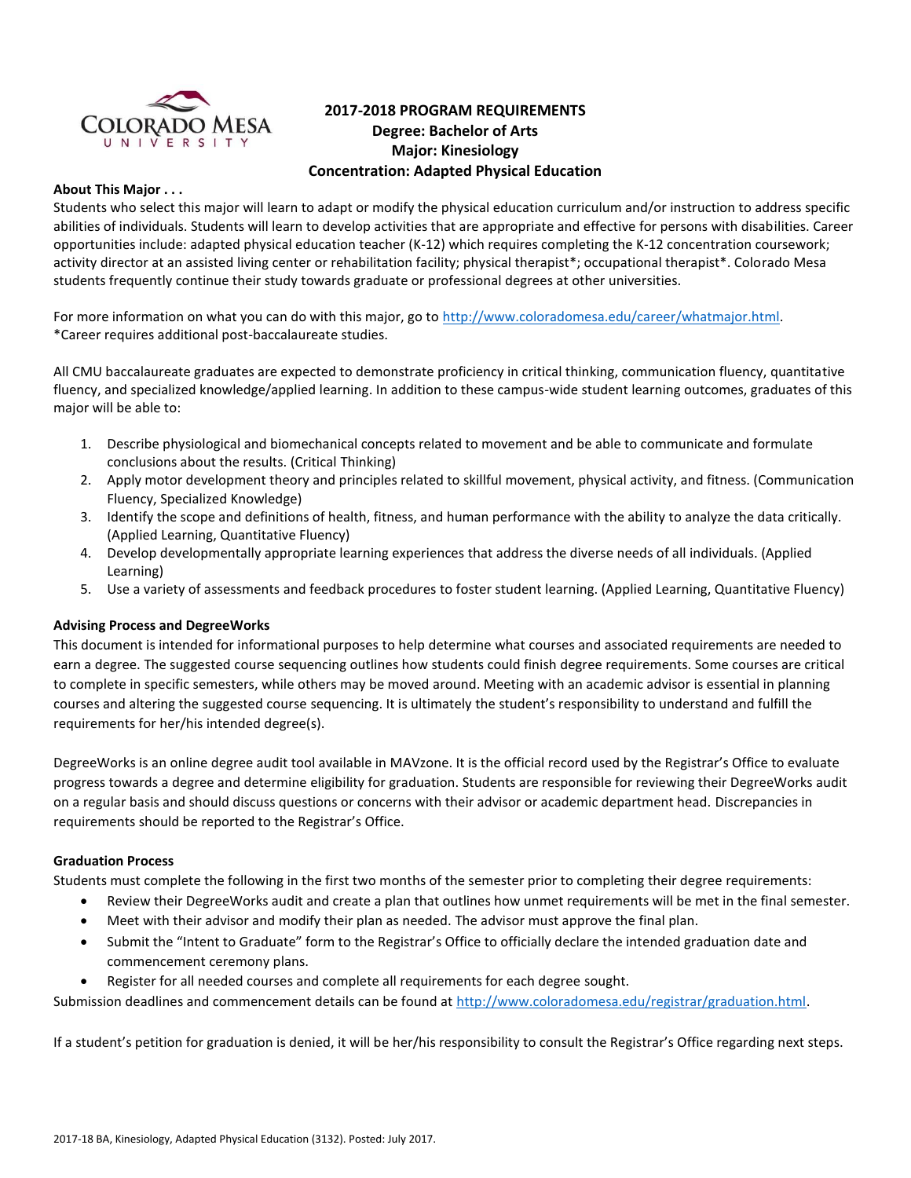

# **2017-2018 PROGRAM REQUIREMENTS Degree: Bachelor of Arts Major: Kinesiology Concentration: Adapted Physical Education**

# **About This Major . . .**

Students who select this major will learn to adapt or modify the physical education curriculum and/or instruction to address specific abilities of individuals. Students will learn to develop activities that are appropriate and effective for persons with disabilities. Career opportunities include: adapted physical education teacher (K-12) which requires completing the K-12 concentration coursework; activity director at an assisted living center or rehabilitation facility; physical therapist\*; occupational therapist\*. Colorado Mesa students frequently continue their study towards graduate or professional degrees at other universities.

For more information on what you can do with this major, go to [http://www.coloradomesa.edu/career/whatmajor.html.](http://www.coloradomesa.edu/career/whatmajor.html) \*Career requires additional post-baccalaureate studies.

All CMU baccalaureate graduates are expected to demonstrate proficiency in critical thinking, communication fluency, quantitative fluency, and specialized knowledge/applied learning. In addition to these campus-wide student learning outcomes, graduates of this major will be able to:

- 1. Describe physiological and biomechanical concepts related to movement and be able to communicate and formulate conclusions about the results. (Critical Thinking)
- 2. Apply motor development theory and principles related to skillful movement, physical activity, and fitness. (Communication Fluency, Specialized Knowledge)
- 3. Identify the scope and definitions of health, fitness, and human performance with the ability to analyze the data critically. (Applied Learning, Quantitative Fluency)
- 4. Develop developmentally appropriate learning experiences that address the diverse needs of all individuals. (Applied Learning)
- 5. Use a variety of assessments and feedback procedures to foster student learning. (Applied Learning, Quantitative Fluency)

# **Advising Process and DegreeWorks**

This document is intended for informational purposes to help determine what courses and associated requirements are needed to earn a degree. The suggested course sequencing outlines how students could finish degree requirements. Some courses are critical to complete in specific semesters, while others may be moved around. Meeting with an academic advisor is essential in planning courses and altering the suggested course sequencing. It is ultimately the student's responsibility to understand and fulfill the requirements for her/his intended degree(s).

DegreeWorks is an online degree audit tool available in MAVzone. It is the official record used by the Registrar's Office to evaluate progress towards a degree and determine eligibility for graduation. Students are responsible for reviewing their DegreeWorks audit on a regular basis and should discuss questions or concerns with their advisor or academic department head. Discrepancies in requirements should be reported to the Registrar's Office.

### **Graduation Process**

Students must complete the following in the first two months of the semester prior to completing their degree requirements:

- Review their DegreeWorks audit and create a plan that outlines how unmet requirements will be met in the final semester.
- Meet with their advisor and modify their plan as needed. The advisor must approve the final plan.
- Submit the "Intent to Graduate" form to the Registrar's Office to officially declare the intended graduation date and commencement ceremony plans.
- Register for all needed courses and complete all requirements for each degree sought.

Submission deadlines and commencement details can be found at [http://www.coloradomesa.edu/registrar/graduation.html.](http://www.coloradomesa.edu/registrar/graduation.html)

If a student's petition for graduation is denied, it will be her/his responsibility to consult the Registrar's Office regarding next steps.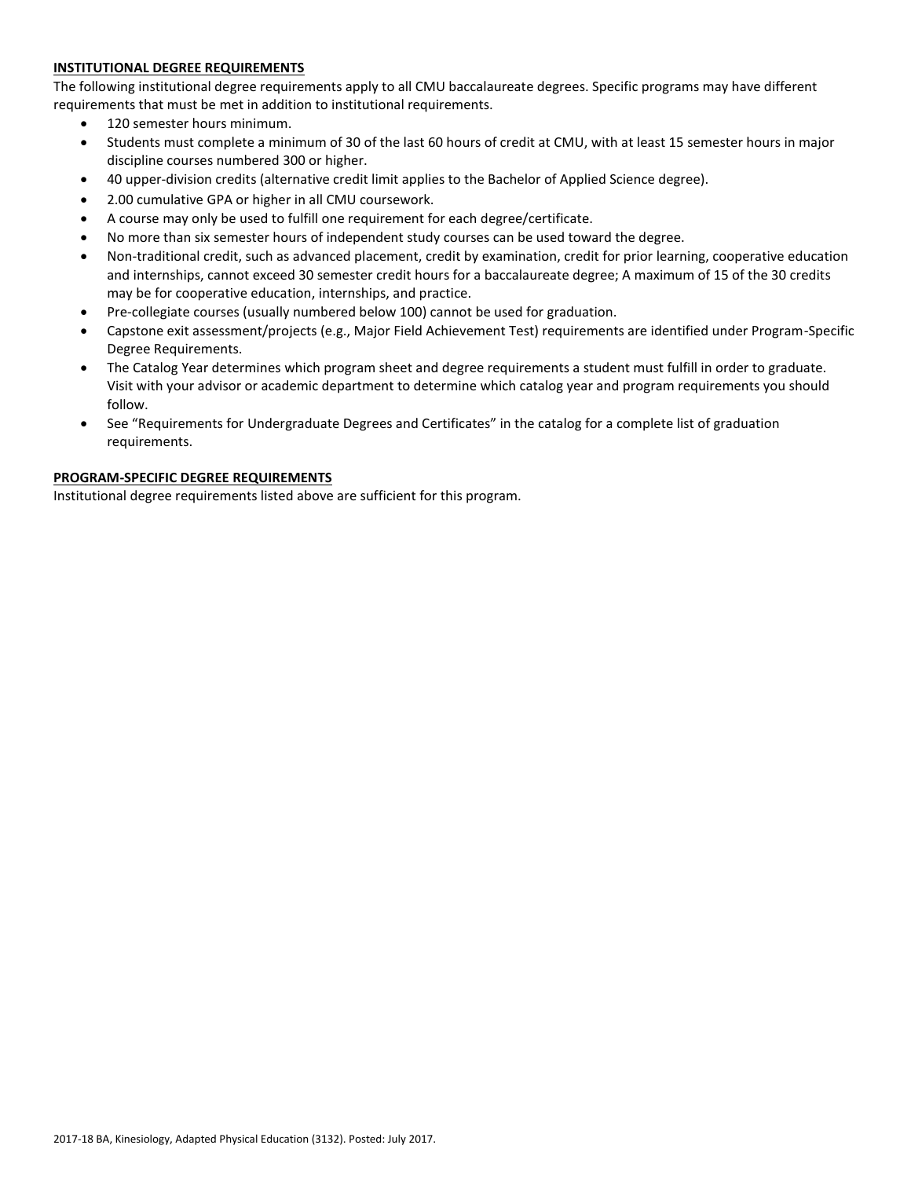# **INSTITUTIONAL DEGREE REQUIREMENTS**

The following institutional degree requirements apply to all CMU baccalaureate degrees. Specific programs may have different requirements that must be met in addition to institutional requirements.

- 120 semester hours minimum.
- Students must complete a minimum of 30 of the last 60 hours of credit at CMU, with at least 15 semester hours in major discipline courses numbered 300 or higher.
- 40 upper-division credits (alternative credit limit applies to the Bachelor of Applied Science degree).
- 2.00 cumulative GPA or higher in all CMU coursework.
- A course may only be used to fulfill one requirement for each degree/certificate.
- No more than six semester hours of independent study courses can be used toward the degree.
- Non-traditional credit, such as advanced placement, credit by examination, credit for prior learning, cooperative education and internships, cannot exceed 30 semester credit hours for a baccalaureate degree; A maximum of 15 of the 30 credits may be for cooperative education, internships, and practice.
- Pre-collegiate courses (usually numbered below 100) cannot be used for graduation.
- Capstone exit assessment/projects (e.g., Major Field Achievement Test) requirements are identified under Program-Specific Degree Requirements.
- The Catalog Year determines which program sheet and degree requirements a student must fulfill in order to graduate. Visit with your advisor or academic department to determine which catalog year and program requirements you should follow.
- See "Requirements for Undergraduate Degrees and Certificates" in the catalog for a complete list of graduation requirements.

### **PROGRAM-SPECIFIC DEGREE REQUIREMENTS**

Institutional degree requirements listed above are sufficient for this program.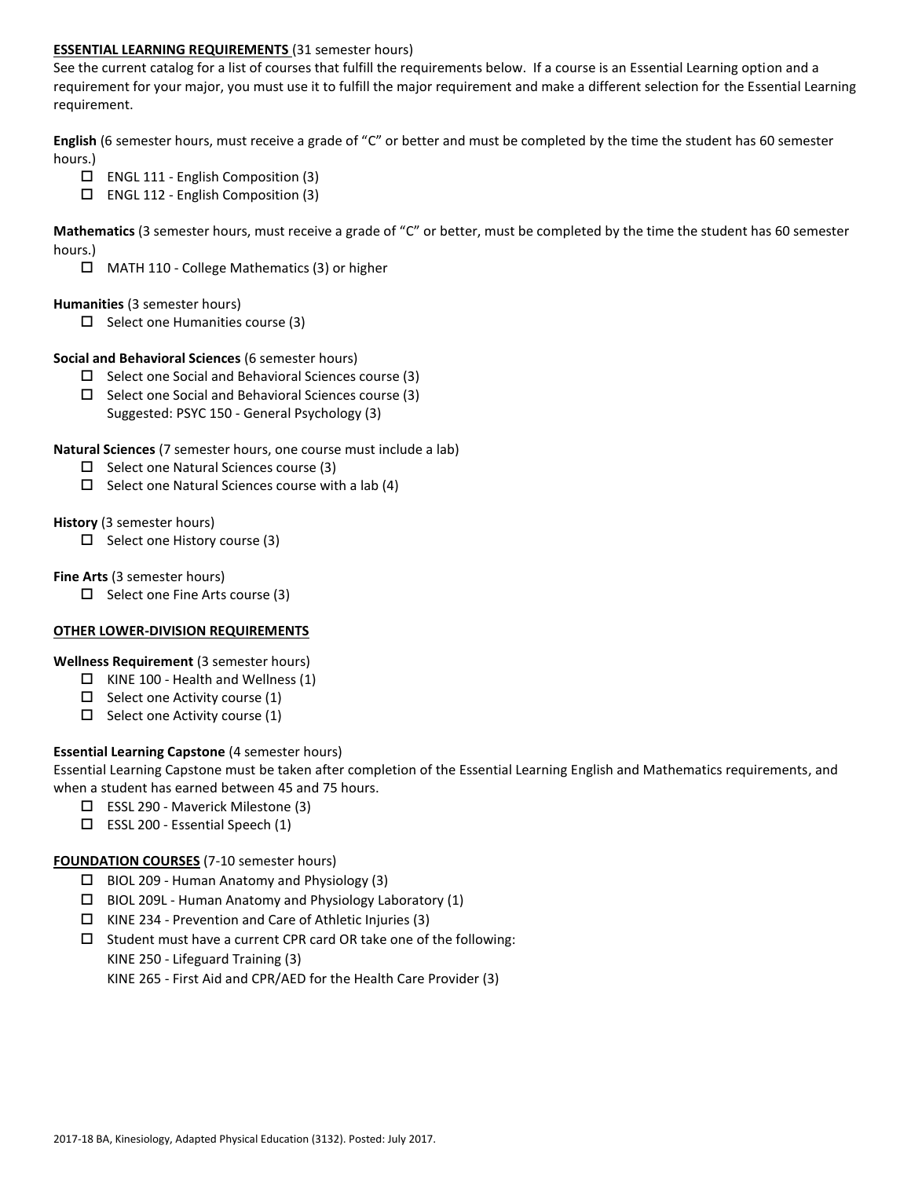# **ESSENTIAL LEARNING REQUIREMENTS** (31 semester hours)

See the current catalog for a list of courses that fulfill the requirements below. If a course is an Essential Learning option and a requirement for your major, you must use it to fulfill the major requirement and make a different selection for the Essential Learning requirement.

**English** (6 semester hours, must receive a grade of "C" or better and must be completed by the time the student has 60 semester hours.)

- ENGL 111 English Composition (3)
- ENGL 112 English Composition (3)

**Mathematics** (3 semester hours, must receive a grade of "C" or better, must be completed by the time the student has 60 semester hours.)

MATH 110 - College Mathematics (3) or higher

### **Humanities** (3 semester hours)

 $\square$  Select one Humanities course (3)

# **Social and Behavioral Sciences** (6 semester hours)

- $\Box$  Select one Social and Behavioral Sciences course (3)
- $\Box$  Select one Social and Behavioral Sciences course (3) Suggested: PSYC 150 - General Psychology (3)

**Natural Sciences** (7 semester hours, one course must include a lab)

- $\Box$  Select one Natural Sciences course (3)
- $\Box$  Select one Natural Sciences course with a lab (4)

### **History** (3 semester hours)

 $\Box$  Select one History course (3)

### **Fine Arts** (3 semester hours)

 $\square$  Select one Fine Arts course (3)

# **OTHER LOWER-DIVISION REQUIREMENTS**

**Wellness Requirement** (3 semester hours)

- $\Box$  KINE 100 Health and Wellness (1)
- $\Box$  Select one Activity course (1)
- $\Box$  Select one Activity course (1)

# **Essential Learning Capstone** (4 semester hours)

Essential Learning Capstone must be taken after completion of the Essential Learning English and Mathematics requirements, and when a student has earned between 45 and 75 hours.

- ESSL 290 Maverick Milestone (3)
- $\square$  ESSL 200 Essential Speech (1)

### **FOUNDATION COURSES** (7-10 semester hours)

- $\Box$  BIOL 209 Human Anatomy and Physiology (3)
- $\Box$  BIOL 209L Human Anatomy and Physiology Laboratory (1)
- $\Box$  KINE 234 Prevention and Care of Athletic Injuries (3)
- $\square$  Student must have a current CPR card OR take one of the following:

KINE 250 - Lifeguard Training (3)

KINE 265 - First Aid and CPR/AED for the Health Care Provider (3)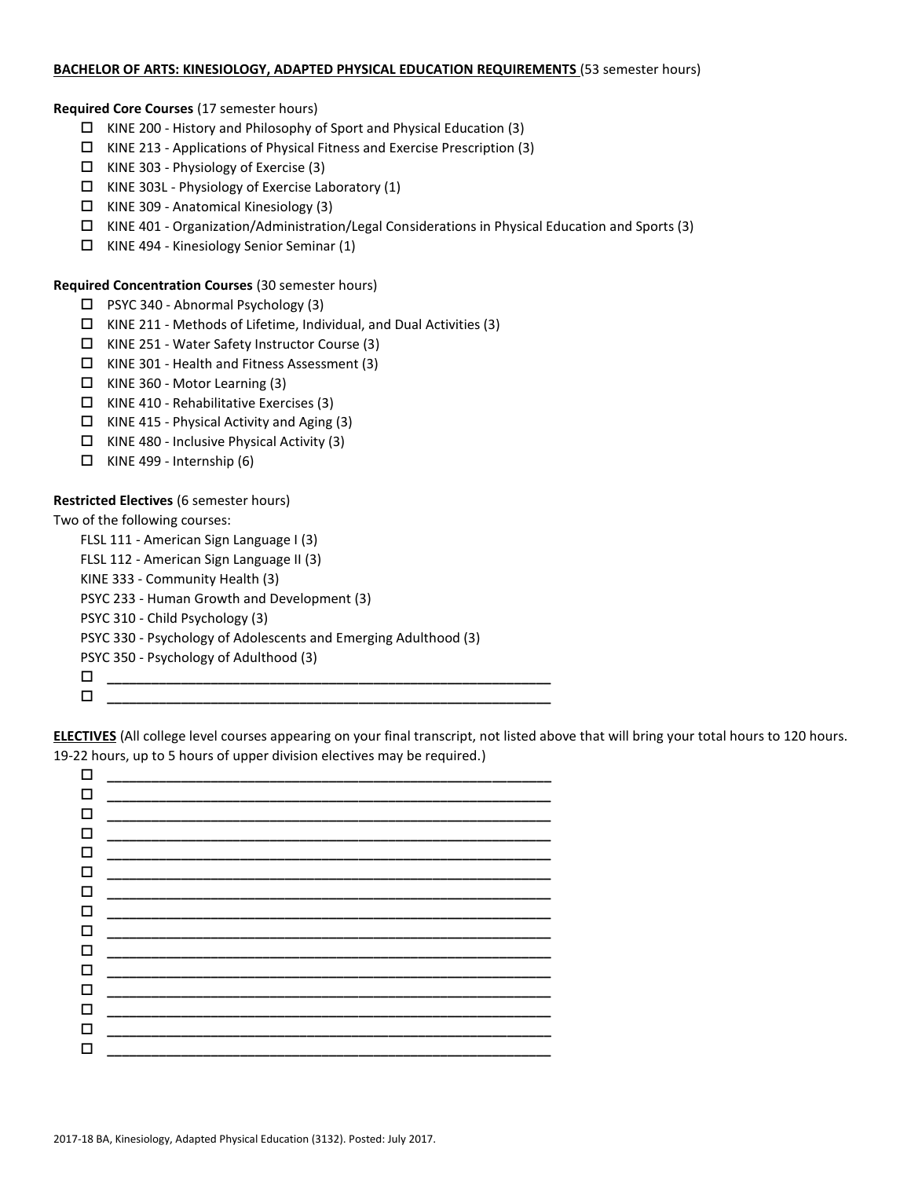## **BACHELOR OF ARTS: KINESIOLOGY, ADAPTED PHYSICAL EDUCATION REQUIREMENTS** (53 semester hours)

## **Required Core Courses** (17 semester hours)

- $\Box$  KINE 200 History and Philosophy of Sport and Physical Education (3)
- $\Box$  KINE 213 Applications of Physical Fitness and Exercise Prescription (3)
- $\Box$  KINE 303 Physiology of Exercise (3)
- $\Box$  KINE 303L Physiology of Exercise Laboratory (1)
- $\Box$  KINE 309 Anatomical Kinesiology (3)
- KINE 401 Organization/Administration/Legal Considerations in Physical Education and Sports (3)
- $\Box$  KINE 494 Kinesiology Senior Seminar (1)

### **Required Concentration Courses** (30 semester hours)

- $\Box$  PSYC 340 Abnormal Psychology (3)
- $\Box$  KINE 211 Methods of Lifetime, Individual, and Dual Activities (3)
- KINE 251 Water Safety Instructor Course (3)
- $\Box$  KINE 301 Health and Fitness Assessment (3)
- $\Box$  KINE 360 Motor Learning (3)
- $\Box$  KINE 410 Rehabilitative Exercises (3)
- $\Box$  KINE 415 Physical Activity and Aging (3)
- $\Box$  KINE 480 Inclusive Physical Activity (3)
- $\Box$  KINE 499 Internship (6)

# **Restricted Electives** (6 semester hours)

Two of the following courses:

FLSL 111 - American Sign Language I (3) FLSL 112 - American Sign Language II (3) KINE 333 - Community Health (3) PSYC 233 - Human Growth and Development (3) PSYC 310 - Child Psychology (3) PSYC 330 - Psychology of Adolescents and Emerging Adulthood (3)

PSYC 350 - Psychology of Adulthood (3)

**\_\_\_\_\_\_\_\_\_\_\_\_\_\_\_\_\_\_\_\_\_\_\_\_\_\_\_\_\_\_\_\_\_\_\_\_\_\_\_\_\_\_\_\_\_\_\_\_\_\_\_\_\_\_\_\_\_\_\_\_**

**\_\_\_\_\_\_\_\_\_\_\_\_\_\_\_\_\_\_\_\_\_\_\_\_\_\_\_\_\_\_\_\_\_\_\_\_\_\_\_\_\_\_\_\_\_\_\_\_\_\_\_\_\_\_\_\_\_\_\_\_**

**ELECTIVES** (All college level courses appearing on your final transcript, not listed above that will bring your total hours to 120 hours. 19-22 hours, up to 5 hours of upper division electives may be required.)

| □      |                               |
|--------|-------------------------------|
| □      |                               |
| □      |                               |
| □      |                               |
| □      |                               |
| □      |                               |
| $\Box$ |                               |
| $\Box$ |                               |
| □      |                               |
| $\Box$ |                               |
| □      |                               |
| $\Box$ |                               |
| □      | _____________________________ |
| □      |                               |
| □      |                               |
|        |                               |